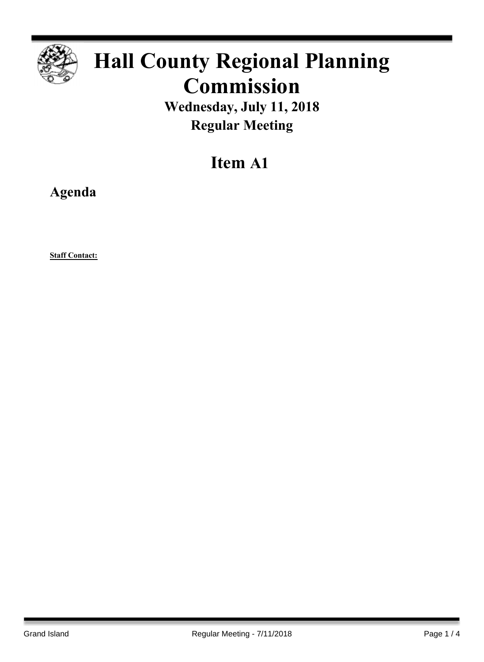

# **Hall County Regional Planning Commission**

**Wednesday, July 11, 2018 Regular Meeting**

## **Item A1**

**Agenda**

**Staff Contact:**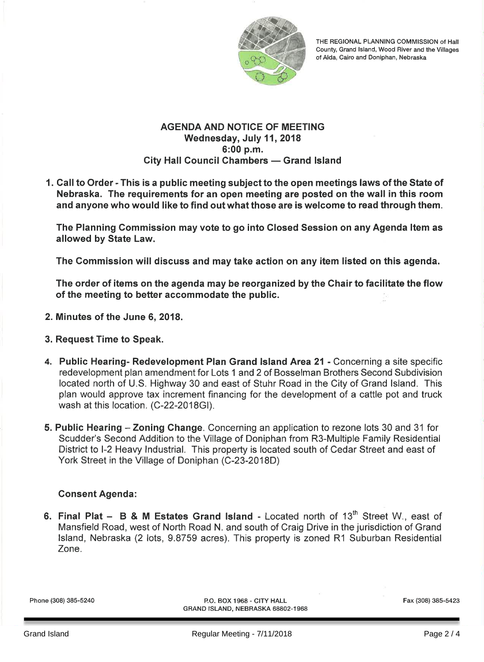

THE REGIONAL PLANNING COMMISSION of Hall County, Grand Island, Wood River and the Villages of Alda, Cairo and Doniphan, Nebraska

#### **AGENDA AND NOTICE OF MEETING** Wednesday, July 11, 2018 6:00 p.m. **City Hall Council Chambers - Grand Island**

1. Call to Order - This is a public meeting subject to the open meetings laws of the State of Nebraska. The requirements for an open meeting are posted on the wall in this room and anyone who would like to find out what those are is welcome to read through them.

The Planning Commission may vote to go into Closed Session on any Agenda Item as allowed by State Law.

The Commission will discuss and may take action on any item listed on this agenda.

The order of items on the agenda may be reorganized by the Chair to facilitate the flow of the meeting to better accommodate the public.

- 2. Minutes of the June 6, 2018.
- 3. Request Time to Speak.
- 4. Public Hearing- Redevelopment Plan Grand Island Area 21 Concerning a site specific redevelopment plan amendment for Lots 1 and 2 of Bosselman Brothers Second Subdivision located north of U.S. Highway 30 and east of Stuhr Road in the City of Grand Island. This plan would approve tax increment financing for the development of a cattle pot and truck wash at this location. (C-22-2018GI).
- 5. Public Hearing Zoning Change. Concerning an application to rezone lots 30 and 31 for Scudder's Second Addition to the Village of Doniphan from R3-Multiple Family Residential District to I-2 Heavy Industrial. This property is located south of Cedar Street and east of York Street in the Village of Doniphan (C-23-2018D)

#### **Consent Agenda:**

6. Final Plat - B & M Estates Grand Island - Located north of 13<sup>th</sup> Street W., east of Mansfield Road, west of North Road N. and south of Craig Drive in the jurisdiction of Grand Island, Nebraska (2 lots, 9.8759 acres). This property is zoned R1 Suburban Residential Zone.

Phone (308) 385-5240

P.O. BOX 1968 - CITY HALL GRAND ISLAND, NEBRASKA 68802-1968 Fax (308) 385-5423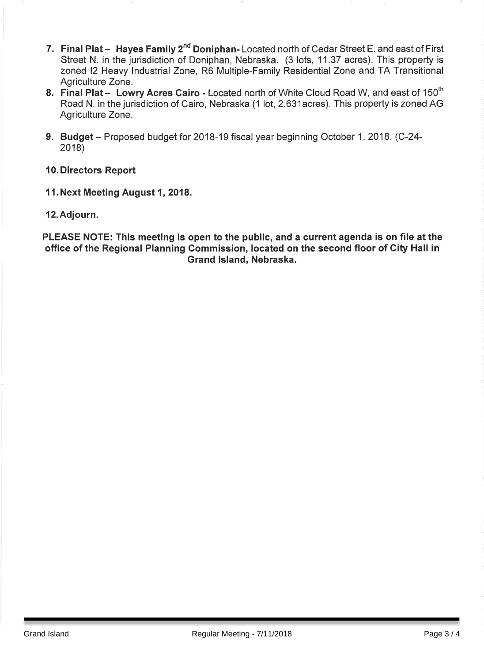- 7. Final Plat Hayes Family 2<sup>nd</sup> Doniphan-Located north of Cedar Street E. and east of First Street N. in the jurisdiction of Doniphan, Nebraska. (3 lots, 11.37 acres). This property is zoned I2 Heavy Industrial Zone, R6 Multiple-Family Residential Zone and TA Transitional Agriculture Zone.
- 8. Final Plat Lowry Acres Cairo Located north of White Cloud Road W, and east of 150<sup>th</sup> Road N. in the jurisdiction of Cairo, Nebraska (1 lot, 2.631 acres). This property is zoned AG Agriculture Zone.
- 9. Budget Proposed budget for 2018-19 fiscal year beginning October 1, 2018. (C-24- $2018$
- **10. Directors Report**
- 11. Next Meeting August 1, 2018.
- 12. Adjourn.

PLEASE NOTE: This meeting is open to the public, and a current agenda is on file at the office of the Regional Planning Commission, located on the second floor of City Hall in Grand Island, Nebraska.